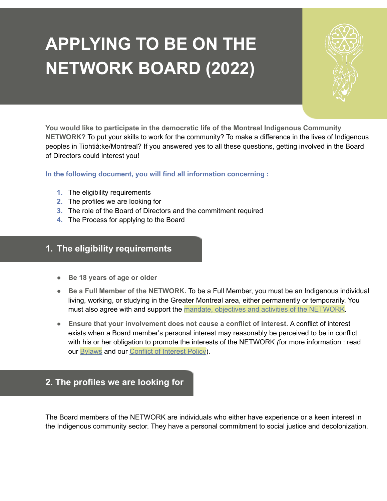# **APPLYING TO BE ON THE NETWORK BOARD (2022)**



**You would like to participate in the democratic life of the Montreal Indigenous Community NETWORK?** To put your skills to work for the community? To make a difference in the lives of Indigenous peoples in Tiohtià:ke/Montreal? If you answered yes to all these questions, getting involved in the Board of Directors could interest you!

**In the following document, you will find all information concerning :**

- **1.** The eligibility requirements
- **2.** The profiles we are looking for
- **3.** The role of the Board of Directors and the commitment required
- **4.** The Process for applying to the Board

## **1. The eligibility requirements**

- **● Be 18 years of age or older**
- **Be a Full Member of the NETWORK.** To be a Full Member, you must be an Indigenous individual living, working, or studying in the Greater Montreal area, either permanently or temporarily. You must also agree with and support the mandate, objectives and activities of the [NETWORK](https://reseaumtlnetwork.com/about-us/).
- **● Ensure that your involvement does not cause a conflict of interest.** A conflict of interest exists when a Board member's personal interest may reasonably be perceived to be in conflict with his or her obligation to promote the interests of the NETWORK *(*for more information : read our **[Bylaws](http://reseaumtlnetwork.com/wp-content/uploads/2022/05/NETWORK-By-laws-_September-2nd-2020.pdf)** and our **Conflict of [Interest](http://reseaumtlnetwork.com/wp-content/uploads/2022/05/CONFLICT-OF-INTEREST-policy.pdf) Policy**).

## **2. The profiles we are looking for**

The Board members of the NETWORK are individuals who either have experience or a keen interest in the Indigenous community sector. They have a personal commitment to social justice and decolonization.